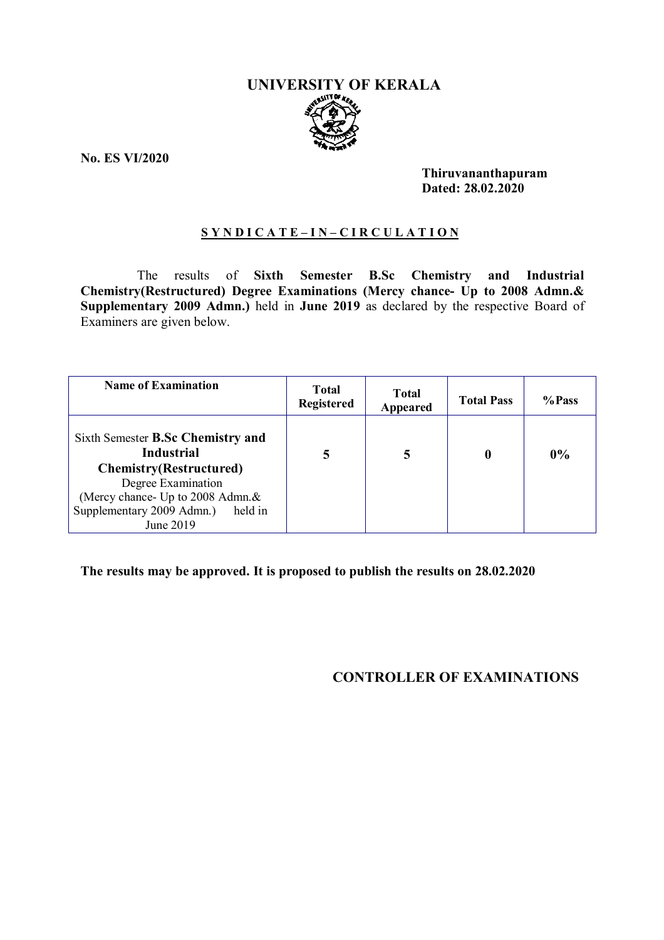# **UNIVERSITY OF KERALA**

**No. ES VI/2020**

**Thiruvananthapuram Dated: 28.02.2020**

## **S Y N D I C A T E – I N – C I R C U L A T I O N**

The results of **Sixth Semester B.Sc Chemistry and Industrial Chemistry(Restructured) Degree Examinations (Mercy chance- Up to 2008 Admn.& Supplementary 2009 Admn.)** held in **June 2019** as declared by the respective Board of Examiners are given below.

| <b>Name of Examination</b>                                                                                                                                                                              | <b>Total</b><br><b>Registered</b> | <b>Total</b><br>Appeared | <b>Total Pass</b> | %Pass |
|---------------------------------------------------------------------------------------------------------------------------------------------------------------------------------------------------------|-----------------------------------|--------------------------|-------------------|-------|
| Sixth Semester B.Sc Chemistry and<br><b>Industrial</b><br><b>Chemistry(Restructured)</b><br>Degree Examination<br>(Mercy chance- Up to 2008 Admn.&<br>Supplementary 2009 Admn.)<br>held in<br>June 2019 | 5                                 | 5                        |                   | 0%    |

**The results may be approved. It is proposed to publish the results on 28.02.2020**

 **CONTROLLER OF EXAMINATIONS**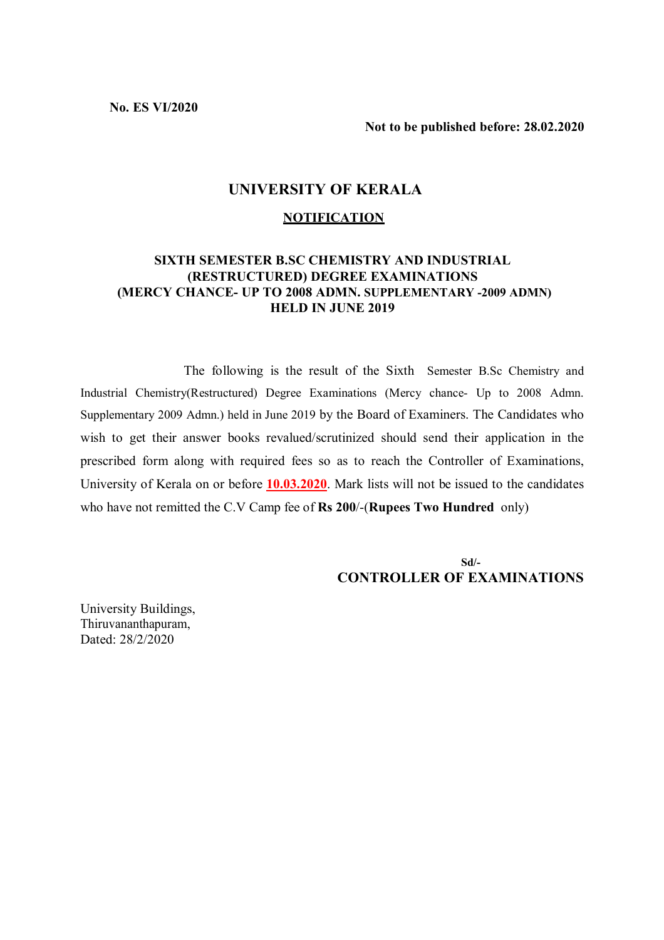**No. ES VI/2020**

**Not to be published before: 28.02.2020**

#### **UNIVERSITY OF KERALA**

#### **NOTIFICATION**

#### **SIXTH SEMESTER B.SC CHEMISTRY AND INDUSTRIAL (RESTRUCTURED) DEGREE EXAMINATIONS (MERCY CHANCE- UP TO 2008 ADMN. SUPPLEMENTARY -2009 ADMN) HELD IN JUNE 2019**

 The following is the result of the Sixth Semester B.Sc Chemistry and Industrial Chemistry(Restructured) Degree Examinations (Mercy chance- Up to 2008 Admn. Supplementary 2009 Admn.) held in June 2019 by the Board of Examiners. The Candidates who wish to get their answer books revalued/scrutinized should send their application in the prescribed form along with required fees so as to reach the Controller of Examinations, University of Kerala on or before **10.03.2020**. Mark lists will not be issued to the candidates who have not remitted the C.V Camp fee of **Rs 200**/-(**Rupees Two Hundred** only)

 **Sd/- CONTROLLER OF EXAMINATIONS**

University Buildings, Thiruvananthapuram, Dated: 28/2/2020